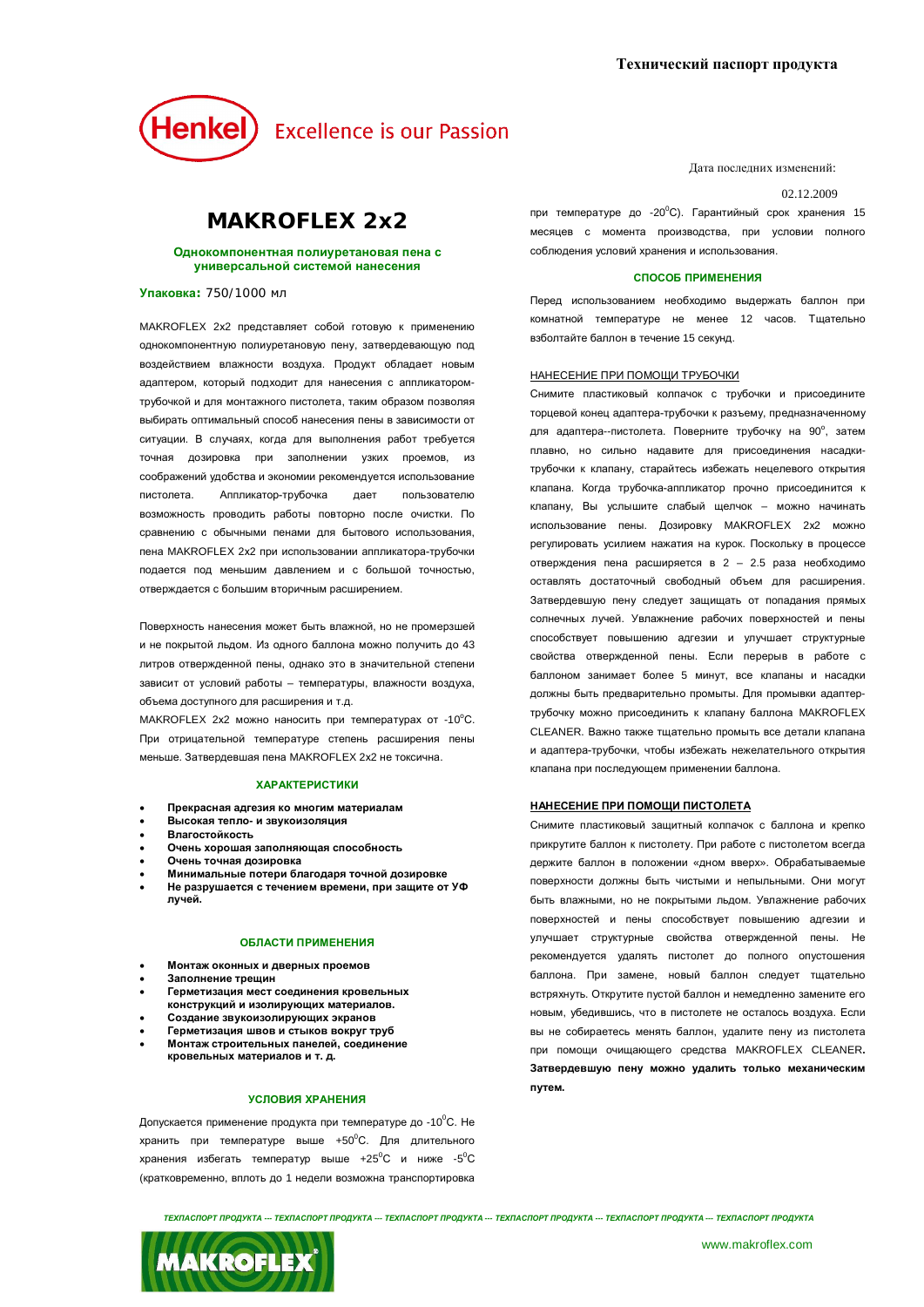# Henkel) Excellence is our Passion

### **MAKROFLEX 2x2**

#### Однокомпонентная полиуретановая пена с **УНИВЕРСАЛЬНОЙ СИСТЕМОЙ НАНЕСЕНИЯ**

**Упаковка: 750/1000 мл** 

МАКROFLEX 2x2 представляет собой готовую к применению однокомпонентную полиуретановую пену, затвердевающую под воздействием влажности воздуха. Продукт обладает новым адаптером, который подходит для нанесения с аппликаторомтрубочкой и для монтажного пистолета, таким образом позволяя выбирать оптимальный слособ нанесения лены в зависимости от ситуации. В случаях, когда для выполнения работ требуется точная дозировка при заполнении узких проемов, из соображений удобства и экономии рекомендуется использование пистолета. Аппликатор-трубочка дает пользователю возможность проводить работы повторно после очистки. По сравнению с обычными пенами для бытового использования. пена MAKROFLEX 2x2 при использовании аппликатора-трубочки подается под меньшим давлением и с большой точностью, отверждается с большим вторичным расширением.

Поверхность нанесения может быть влажной, но не промерзшей и не покрытой льдом. Из одного баллона можно получить до 43 литров отвержденной пены, однако это в значительной степени зависит от условий работы - температуры, влажности воздуха, объема доступного для расширения и т.д.

MAKROFLEX 2x2 можно наносить при температурах от -10°С. При отрицательной температуре степень расширения пены меньше. Затвердевшая пена MAKROFLEX 2x2 не токсична.

#### **ХАРАКТЕРИСТИКИ**

- Прекрасная адгезия ко многим материалам
- Высокая тепло- и звукоизоляция
- **BRAFOCTOŘKOCTL**
- Очень хорошая заполняющая способность
- Очень точная дозировка Минимальные потери благодаря точной дозировке
- Не разрушается с течением времени, при защите от УФ л**учей**.

#### ОБЛАСТИ ПРИМЕНЕНИЯ

- Монтаж оконных и дверных проемов
- Заполнение трещин
- Герметизация мест соединения кровельных
- конструкций и изолирующих материалов.
- Создание звукоизолирующих экранов Герметизация швов и стыков вокруг труб
- Монтаж строительных панелей, соединение
- **кровельных материалов и т. д.**

#### УСЛОВИЯ ХРАНЕНИЯ

Допускается применение продукта при температуре до -10<sup>0</sup>С. Не хранить при температуре выше +50°С. Для длительного хранения избегать температур выше  $+25^{\circ}$ С и ниже  $-5^{\circ}$ С (кратковременно, вплоть до 1 недели возможна транспортировка Дата послелних изменений:

#### 02.12.2009

при температуре до -20<sup>0</sup>С). Гарантийный срок хранения 15 месяцев с момента производства, при условии полного соблюдения условий хранения и использования.

#### СПОСОБ ПРИМЕНЕНИЯ

Перед использованием необходимо выдержать баллон при комнатной температуре не менее 12 часов. Тшательно взболтайте баллон в течение 15 секунд.

#### НАНЕСЕНИЕ ПРИ ПОМОЩИ ТРУБОЧКИ

Снимите пластиковый колпачок с трубочки и присоедините торцевой конец адаптера-трубочки к разъему, предназначенному для адаптера--пистолета. Поверните трубочку на 90°, затем плавно, но сильно надавите для присоединения насадкитрубочки к клапану, старайтесь избежать нецелевого открытия клапана. Когда трубочка-аппликатор прочно присоединится к клапану, Вы услышите слабый щелчок – можно начинать использование пены. Дозировку MAKROFLEX 2x2 можно регулировать усилием нажатия на курок. Поскольку в процессе отверждения пена расширяется в 2 – 2.5 раза необходимо оставлять достаточный свободный объем для расширения. Затвердевшую пену следует защищать от попадания прямых солнечных лучей. Увлажнение рабочих поверхностей и пены способствует повышению адгезии и улучшает структурные свойства отвержденной пены. Если перерыв в работе с баллоном занимает более 5 минут, все клапаны и насадки должны быть предварительно промыты. Для промывки адаптертрубочку можно присоединить к клапану баллона MAKROFLEX CLEANER. Важно также тщательно промыть все детали клапана и адаптера-трубочки, чтобы избежать нежелательного открытия клапана при последующем применении баллона.

#### НАНЕСЕНИЕ ПРИ ПОМОЩИ ПИСТОЛЕТА

Снимите пластиковый защитный коллачок с баллона и крелко прикрутите баллон к пистолету. При работе с пистолетом всегда держите баллон в положении «дном вверх». Обрабатываемые поверхности должны быть чистыми и непыльными. Они могут быть влажными, но не покрытыми льдом. Увлажнение рабочих поверхностей и пены способствует повышению адгезии и улучшает структурные свойства отвержденной пены. Не рекомендуется удалять пистолет до полного опустошения баллона. При замене, новый баллон следует тщательно встряхнуть. Открутите пустой баллон и немедленно замените его новым, убедившись, что в пистолете не осталось воздуха. Если вы не собираетесь менять баллон, удалите пену из пистолета при помощи очишающего средства MAKROFLEX CLEANER. Затвердевшую пену можно удалить только механическим **ПУТЕМ.** 

*ɌȿɏɉȺɋɉɈɊɌɉɊɈȾɍɄɌȺ --- ɌȿɏɉȺɋɉɈɊɌɉɊɈȾɍɄɌȺ --- ɌȿɏɉȺɋɉɈɊɌɉɊɈȾɍɄɌȺ --- ɌȿɏɉȺɋɉɈɊɌɉɊɈȾɍɄɌȺ --- ɌȿɏɉȺɋɉɈɊɌɉɊɈȾɍɄɌȺ --- ɌȿɏɉȺɋɉɈɊɌɉɊɈȾɍɄɌȺ*

**MAKROFLEX**